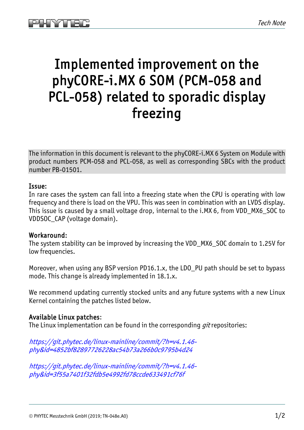## Implemented improvement on the phyCORE-i.MX 6 SOM (PCM-058 and PCL-058) related to sporadic display freezing

The information in this document is relevant to the phyCORE-i.MX 6 System on Module with product numbers PCM-058 and PCL-058, as well as corresponding SBCs with the product number PB-01501.

## Issue:

In rare cases the system can fall into a freezing state when the CPU is operating with low frequency and there is load on the VPU. This was seen in combination with an LVDS display. This issue is caused by a small voltage drop, internal to the i.MX 6, from VDD\_MX6\_SOC to VDDSOC\_CAP (voltage domain).

## Workaround:

The system stability can be improved by increasing the VDD\_MX6\_SOC domain to 1.25V for low frequencies.

Moreover, when using any BSP version PD16.1.x, the LDO\_PU path should be set to bypass mode. This change is already implemented in 18.1.x.

We recommend updating currently stocked units and any future systems with a new Linux Kernel containing the patches listed below.

## Available Linux patches:

The Linux implementation can be found in the corresponding *git* repositories:

[https://git.phytec.de/linux-mainline/commit/?h=v4.1.46](https://git.phytec.de/linux-mainline/commit/?h=v4.1.46-phy&id=4852bf82897726228ac54b73a266b0c9795b4d24) [phy&id=4852bf82897726228ac54b73a266b0c9795b4d24](https://git.phytec.de/linux-mainline/commit/?h=v4.1.46-phy&id=4852bf82897726228ac54b73a266b0c9795b4d24)

[https://git.phytec.de/linux-mainline/commit/?h=v4.1.46](https://git.phytec.de/linux-mainline/commit/?h=v4.1.46-phy&id=3f55a7401f32fdb5e4992fd78ccde633491cf76f) [phy&id=3f55a7401f32fdb5e4992fd78ccde633491cf76f](https://git.phytec.de/linux-mainline/commit/?h=v4.1.46-phy&id=3f55a7401f32fdb5e4992fd78ccde633491cf76f)